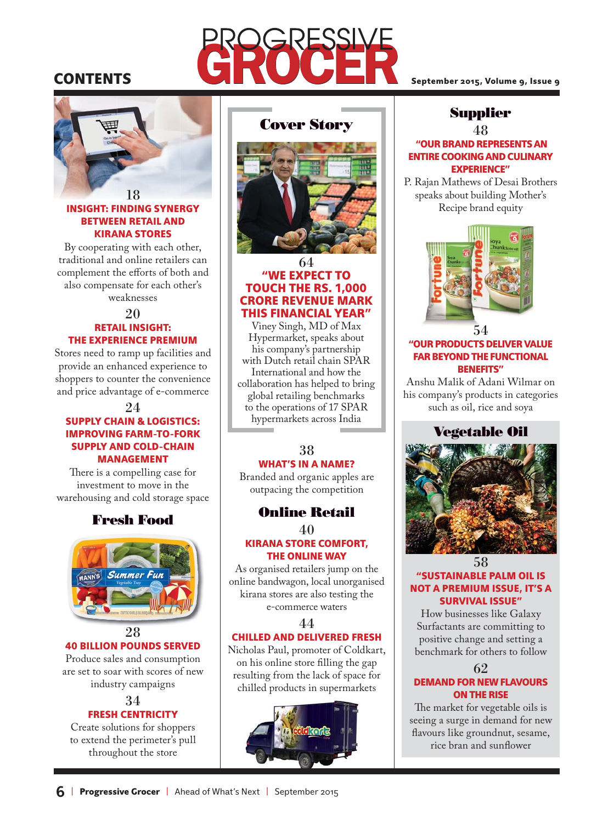# **CONTENTS**

18

#### INSIGHT: FINDING SYNERGY BETWEEN RETAIL AND KIRANA STORES

By cooperating with each other, traditional and online retailers can complement the efforts of both and also compensate for each other's weaknesses

#### 20 RETAIL INSIGHT: THE EXPERIENCE PREMIUM

Stores need to ramp up facilities and provide an enhanced experience to shoppers to counter the convenience and price advantage of e-commerce

#### 24

#### SUPPLY CHAIN & LOGISTICS: IMPROVING FARM-TO-FORK SUPPLY AND COLD-CHAIN MANAGEMENT

There is a compelling case for investment to move in the warehousing and cold storage space

# **Fresh Food**



# 40 BILLION POUNDS SERVED

Produce sales and consumption are set to soar with scores of new industry campaigns

#### 34 FRESH CENTRICITY

Create solutions for shoppers to extend the perimeter's pull throughout the store

# **Cover Story**



#### 64 "WE EXPECT TO TOUCH THE RS. 1,000 CRORE REVENUE MARK THIS FINANCIAL YEAR"

Viney Singh, MD of Max Hypermarket, speaks about his company's partnership with Dutch retail chain SPAR International and how the collaboration has helped to bring global retailing benchmarks to the operations of 17 SPAR hypermarkets across India

#### 38 WHAT'S IN A NAME?

Branded and organic apples are outpacing the competition

## **Online Retail**

40 KIRANA STORE COMFORT, THE ONLINE WAY

As organised retailers jump on the online bandwagon, local unorganised kirana stores are also testing the e-commerce waters

#### 44

#### CHILLED AND DELIVERED FRESH

Nicholas Paul, promoter of Coldkart, on his online store filling the gap resulting from the lack of space for chilled products in supermarkets



September 2015, Volume 9, Issue 9

# **Supplier**

48

#### "OUR BRAND REPRESENTS AN ENTIRE COOKING AND CULINARY EXPERIENCE"

P. Rajan Mathews of Desai Brothers speaks about building Mother's Recipe brand equity



#### "OUR PRODUCTS DELIVER VALUE FAR BEYOND THE FUNCTIONAL BENEFITS"

Anshu Malik of Adani Wilmar on his company's products in categories such as oil, rice and soya

#### **Vegetable Oil**



#### 58 "SUSTAINABLE PALM OIL IS NOT A PREMIUM ISSUE, IT'S A SURVIVAL ISSUE"

How businesses like Galaxy Surfactants are committing to positive change and setting a benchmark for others to follow

62

#### DEMAND FOR NEW FLAVOURS ON THE RISE

The market for vegetable oils is seeing a surge in demand for new flavours like groundnut, sesame, rice bran and sunflower